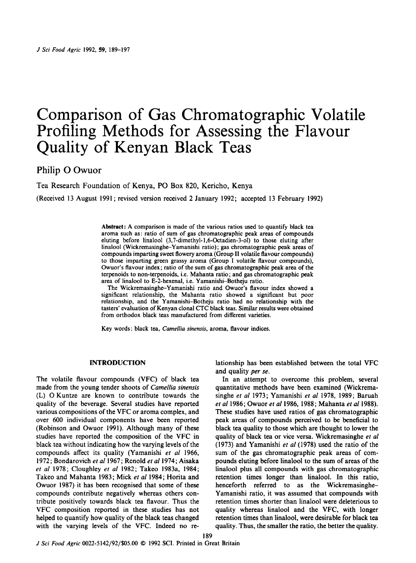# Comparison of Gas Chromatographic Volatile Profiling Methods for Assessing the Flavour Quality of Kenyan Black Teas

# **Philip** 0 Owuor

Tea Research Foundation of Kenya, PO **Box** 820, Kericho, Kenya

(Received 13 August 1991; revised version received **2** January 1992; accepted 13 February 1992)

Abstract: **A** comparison is made of the various ratios used to quantify black tea aroma such as: ratio of sum of gas chromatographic peak areas of compounds eluting before linalool **(3,7-dimethyl-1,6-0ctadien-3-01) to** those eluting after linalool **(Wickremasinghe-Yamanishi** ratio) ; gas chromatographic peak areas of compounds imparting sweet flowery aroma (Group **I1** volatile flavour compounds) to those imparting green grassy aroma (Group I volatile flavour compounds), Owuor's flavour index; ratio of the sum of gas chromatographic peak area of the terpenoids to non-terpenoids, i.e. Mahanta ratio; and gas chromatographic peak area of linalool to E-2-hexena1, i.e. Yamanishi-Botheju ratio.

The **Wickremasinghe-Yamanishi** ratio and Owuor's flavour index showed a significant relationship, the Mahanta ratio showed a significant but poor relationship, and the Yamanishi-Botheju ratio had no relationship with the tasters' evaluation of Kenyan clonal CTC black teas. Similar results were obtained from orthodox black teas manufactured from different varieties.

189

Key words : black tea, *Camellia sinensis,* aroma, flavour indices.

The volatile flavour compounds (VFC) of black tea In an attempt to overcome this problem, several made from the young tender shoots of *Camellia sinensis* quantitative methods have been examined (Wickrema- (L) 0 Kuntze are known to contribute towards the singhe et *al* 1973; Yamanishi et *al* 1978, 1989; Baruah quality of the beverage. Several studies have reported *et a1* 1986; Owuor *er a1* 1986, 1988; Mahanta et *a1* 1988). various compositions of the VFC or aroma complex, and These studies have used ratios of gas chromatographic over 600 individual components have been reported peak areas of compounds perceived to be beneficial to (Robinson and Owuor 1991). Although many of these black tea quality to those which are thought to lower the studies have reported the composition of the VFC in quality of black tea or vice versa. Wickremasinghe *et a1*  black tea without indicating how the varying levels of the (1973) and Yamanishi *et a1* (1978) used the ratio of the compounds affect its quality (Yamanishi et *a1* 1966, sum of the gas chromatographic peak areas of com-1972; Bondarovich *er af* 1967; Renold *el a1* 1974; Aisaka pounds eluting before linalool to the sum of areas of the *et af* 1978; Cloughley *er af* 1982; Takeo 1983a, 1984; linalool plus all compounds with gas chromatographic Takeo and Mahanta 1983; Mick et *af* 1984; Horita and retention times longer than linalool. In this ratio, Owuor 1987) it has been recognised that some of these henceforth referred to as the Wickremasinghecompounds contribute negatively whereas others con- Yamanishi ratio, it was assumed that compounds with tribute positively towards black tea flavour. Thus the retention times shorter than linalool were deleterious to VFC composition reported in these studies has not quality whereas linalool and the VFC, with longer helped to quantify how quality of the black teas changed retention times than linalool, were desirable for black tea with the varying levels of the VFC. Indeed no re- quality. Thus, the smaller the ratio, the better the quality.

INTRODUCTION lationship has been established between the total VFC and quality per **se.**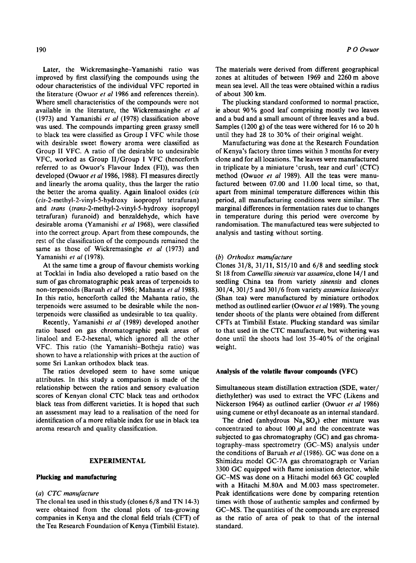Later, the **Wickremasinghe-Yamanishi** ratio was improved by first classifying the compounds using the odour characteristics of the individual VFC reported in the literature (Owuor et al 1986 and references therein). Where smell characteristics of the compounds were not available in the literature, the Wickremasinghe et al (1973) and Yamanishi et al (1978) classification above was used. The compounds imparting green grassy smell to black tea were classified as Group I VFC while those with desirable sweet flowery aroma were classified as Group **I1** VFC. A ratio of the desirable to undesirable VFC, worked as Group II/Group I VFC (henceforth referred to as Owuor's Flavour Index (FI)), was then developed (Owuor et al 1986, 1988). FI measures directly and linearly the aroma quality, thus the larger the ratio the better the aroma quality. Again linalool oxides (cis **(cis-2-methyl-2-vinyI-5-hydroxy** isopropyl tetrafuran) and trans **(trans-2-methyl-2-vinyl-5-hydroxy** isopropyl tetrafuran) furanoid) and benzaldehyde, which have desirable aroma (Yamanishi et al 1968), were classified into the correct group. Apart from these compounds, the rest of the classification of the compounds remained the same as those of Wickremasinghe et al (1973) and Yamanishi *et a1* (1978).

At the same time a group of flavour chemists working at Tocklai in India also developed a ratio based on the sum of gas chromatographic peak areas of terpenoids to non-terpenoids (Baruah et al 1986; Mahanta et al 1988). In this ratio, henceforth called the Mahanta ratio, the terpenoids were assumed to be desirable while the nonterpenoids were classified as undesirable to tea quality.

Recently, Yamanishi et al (1989) developed another ratio based on gas chromatographic peak areas of linalool and E-2-hexenal, which ignored all the other VFC. This ratio (the Yamanishi-Botheju ratio) was shown to have a relationship with prices at the auction of some Sri Lankan orthodox black teas.

The ratios developed seem to have some unique attributes. In this study a comparison is made of the relationship between the ratios and sensory evaluation scores of Kenyan clonal CTC black teas and orthodox black teas from different varieties. It is hoped that such an assessment may lead to a realisation of the need for identification of a more reliable index for use in black tea aroma research and quality classification.

### **EXPERIMENTAL**

#### **Plucking and manufacturing**

# (a) CTC manufacture

The clonal tea used in this study (clones 6/8 and TN 14-3) were obtained from the clonal plots of tea-growing companies in Kenya and the clonal field trials (CFT) of the Tea Research Foundation of Kenya (Timbilil Estate).

The materials were derived from different geographical zones at altitudes of between 1969 and 2260m above mean sea level. All the teas were obtained within a radius of about 300 km.

The plucking standard conformed to normal practice, ie about 90% good leaf comprising mostly two leaves and a bud and a small amount of three leaves and a bud. Samples (1200 g) of the teas were withered for 16 to 20 h until they had 28 to 30% of their original weight.

Manufacturing was done at the Research Foundation of Kenya's factory three times within 3 months for every clone and for all locations. The leaves were manufactured in triplicate by a miniature 'crush, tear and curl' (CTC) method (Owuor et al 1989). All the teas were manufactured between 07.00 and 11.00 local time, so that, apart from minimal temperature differences within this period, all manufacturing conditions were similar. The marginal differences in fermentation rates due to changes in temperature during this period were overcome by randomisation. The manufactured teas were subjected to analysis and tasting without sorting.

#### *(6)* Orthodox manufacture

Clones 31/8, 31/11, **S15/10** and 6/8 and seedling stock St 18 from Camellia sinensis var assamica, clone 14/ **1** and seedling China tea from variety sinensis and clones 301 /4,301/5 and 301/6 from variety assamica lasiocalyx (Shan tea) were manufactured by miniature orthodox method as outlined earlier (Owuor et al 1989). The young tender shoots of the plants were obtained from different CFTs at Timbilil Estate. Plucking standard was similar to that used in the CTC manufacture, but withering was done until the shoots had lost 35-40% of the original weight.

#### **Analysis of the volatile flavour compounds (VFC)**

Simultaneous steam distillation extraction (SDE, water/ diethylether) was used to extract the VFC (Likens and Nickerson 1964) as outlined earlier (Owuor et al 1986) using cumene or ethyl decanoate as an internal standard.

The dried (anhydrous  $Na<sub>2</sub>SO<sub>4</sub>$ ) ether mixture was concentrated to about 100  $\mu$ l and the concentrate was subjected to gas chromatography (GC) and gas chromatography-mass spectrometry (GC-MS) analysis under the conditions of Baruah et al (1986). GC was done on a Shimidzu model GC-7A gas chromatograph or Varian 3300 GC equipped with flame ionisation detector, while GC-MS was done on a Hitachi model 663 GC coupled with a Hitachi M.80A and M.003 mass spectrometer. Peak identifications were done by comparing retention times with those of authentic samples and confirmed by GC-MS. The quantities of the compounds are expressed as the ratio of area of peak to that of the internal standard.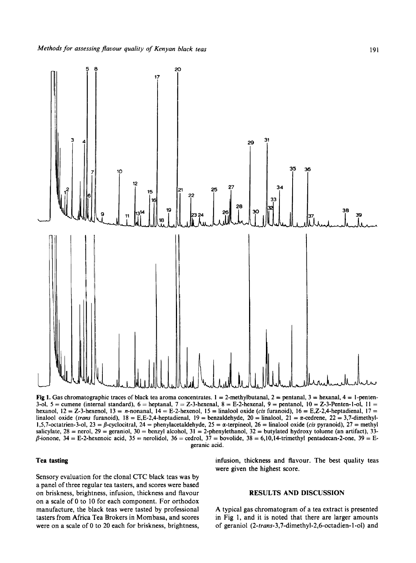

Fig 1. Gas chromatographic traces of black tea aroma concentrates.  $1 = 2$ -methylbutanal,  $2 =$  pentanal,  $3 =$  hexanal,  $4 =$  1-penten-3-01, 5 = cumene (internal standard), 6 = heptanal, 7 = Z-3-hexena1, 8 = E-2-hexena1, 9 = pentanol, **10** = Z-3-Penten-1-01, **1** <sup>I</sup>= hexanol,  $12 = Z-3$ -hexenol,  $13 = n$ -nonanal,  $14 = E-2$ -hexenol,  $15 =$  linalool oxide *(cis* furanoid),  $16 = E$ ,  $Z-2$ ,  $4$ -heptadienal,  $17 =$ linalool oxide (trans furanoid),  $18 = E$ ,E-2,4-heptadienal,  $19 =$  benzaldehyde,  $20 =$  linalool,  $21 = \alpha$ -cedrene,  $22 = 3.7$ -dimethyl-1,5,7-octatrien-3-ol, 23 =  $\beta$ -cyclocitral, 24 = phenylacetaldehyde, 25 =  $\alpha$ -terpineol, 26 = linalool oxide *(cis* pyranoid), 27 = methyl salicylate,  $28 =$  nerol,  $29 =$  geraniol,  $30 =$  benzyl alcohol,  $31 =$  2-phenylethanol,  $32 =$  butylated hydroxy toluene (an artifact),  $33 \beta$ -ionone, 34 = E-2-hexenoic acid, 35 = nerolidol, 36 = cedrol, 37 = bovolide, 38 = 6,10,14-trimethyl pentadecan-2-one, 39 = Egeranic acid.

### **Tea tasting**

Sensory evaluation for the clonal CTC black teas was by a panel of three regular tea tasters, and scores were based on briskness, brightness, infusion, thickness and flavour on a scale of 0 to 10 for each component. For orthodox manufacture, the black teas were tasted by professional tasters from Africa Tea Brokers in Mombasa, and scores were on a scale of 0 to 20 each for briskness, brightness,

infusion, thickness and flavour. The best quality teas were given the highest score.

# **RESULTS AND DISCUSSION**

**A** typical gas chromatogram of a tea extract is presented in Fig 1, and it is noted that there are larger amounts of geraniol **(2-trans-3,7-dimethyI-2,6-octadien-l-ol)** and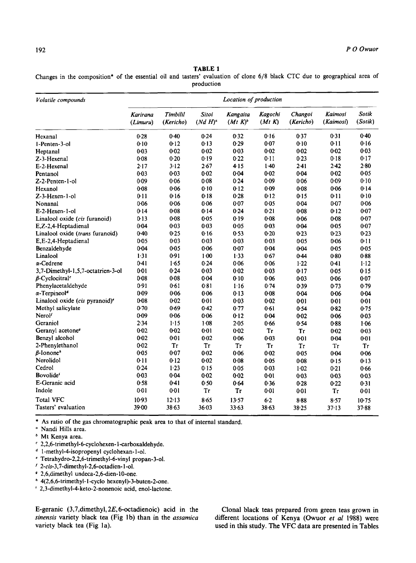# TABLE **1**

Changes in the composition\* of the essential oil and tasters' evaluation of clone 6/8 black CTC due to geographical area of production

| Volatile compounds                         | Location of production |                       |                            |                        |                          |                      |                             |                  |  |
|--------------------------------------------|------------------------|-----------------------|----------------------------|------------------------|--------------------------|----------------------|-----------------------------|------------------|--|
|                                            | Karirana<br>(Limuru)   | Timbilil<br>(Kericho) | <b>Sitoi</b><br>$(Nd H)^a$ | Kangaita<br>$(Mt K)^b$ | <b>Kagochi</b><br>(Mt K) | Changoi<br>(Kericho) | <b>Kaimosi</b><br>(Kaimosi) | Sotik<br>(Sotik) |  |
| Hexanal                                    | 0.28                   | 0.40                  | 0.24                       | 0.32                   | 0.16                     | 0.37                 | 0.31                        | 0.40             |  |
| 1-Penten-3-ol                              | 0.10                   | 0.12                  | 0.13                       | 0.29                   | 0.07                     | 0.10                 | 0.11                        | 0.16             |  |
| Heptanal                                   | 0.03                   | 0.02                  | 0.02                       | 0.03                   | $0 - 02$                 | 0.02                 | 0.02                        | 0.03             |  |
| Z-3-Hexenal                                | 0.08                   | 0.20                  | 0.19                       | 0.22                   | 0.11                     | 0.23                 | 0.18                        | 0.17             |  |
| E-2-Hexenal                                | 2.17                   | $3-12$                | 2.67                       | 4.15                   | 1.40                     | 2.41                 | 2.42                        | 2.80             |  |
| Pentanol                                   | 0.03                   | 0.03                  | $0 - 02$                   | 0.04                   | 0.02                     | 0.04                 | $0 - 02$                    | 0.05             |  |
| Z-2-Penten-1-ol                            | 0.09                   | 0.06                  | 0.08                       | 0.24                   | 0.09                     | 0.06                 | 0.09                        | 0.10             |  |
| Hexanol                                    | 0.08                   | 0.06                  | 0.10                       | 0.12                   | 0.09                     | 0.08                 | 0.06                        | 0.14             |  |
| Z-3-Hexen-1-ol                             | 0.11                   | 0.16                  | 0.18                       | 0.28                   | 0.12                     | 0.15                 | 0.11                        | 0.10             |  |
| Nonanal                                    | 0.06                   | 0.06                  | 0.06                       | 0.07                   | 0.05                     | 0.04                 | 0.07                        | 0.06             |  |
| E-2-Hexen-1-ol                             | 0.14                   | 0.08                  | 0.14                       | 0.24                   | $0 - 21$                 | 0.08                 | 0.12                        | 0.07             |  |
| Linalool oxide (cis furanoid)              | 0.13                   | 0.08                  | 0.05                       | 0.19                   | $0 - 08$                 | 0.06                 | 0.08                        | 0.07             |  |
| E,Z-2,4-Heptadienal                        | $0 - 04$               | 0.03                  | 0.03                       | 0.05                   | 0.03                     | 0.04                 | $0 - 05$                    | 0.07             |  |
| Linalool oxide (trans furanoid)            | $0 - 40$               | 0.25                  | 0.16                       | 0.53                   | 0.20                     | 0.23                 | 0.23                        | 0.23             |  |
| E,E-2,4-Heptadienal                        | 0.05                   | 0.03                  | 0.03                       | 0.03                   | 0.03                     | 0.05                 | 0.06                        | 0.11             |  |
| Benzaldehyde                               | 0.04                   | 0.05                  | 0.06                       | 0.07                   | 0.04                     | $0 - 04$             | 0.05                        | 0.05             |  |
| Linalool                                   | 1.31                   | 0.91                  | $1-00$                     | 1.33                   | 0.67                     | $0 - 44$             | 0.80                        | 0.88             |  |
| $\alpha$ -Cedrene                          | 0.41                   | 1.65                  | 0.24                       | 0.06                   | 0.06                     | 1.22                 | 0.41                        | 1.12             |  |
| 3,7-Dimethyl-1,5,7-octatrien-3-ol          | $0 - 01$               | 0.24                  | 0.03                       | $0 - 02$               | $0 - 03$                 | 0:17                 | 0.05                        | 0.15             |  |
| $\beta$ -Cyclocitral <sup>c</sup>          | 0.08                   | 0.08                  | 0.04                       | 0.10                   | 0.06                     | 0.03                 | 0.06                        | 0.07             |  |
| Phenylacetaldehyde                         | 0.91                   | 0.61                  | 0.81                       | 1.16                   | 0.74                     | 0.39                 | 0.73                        | 0.79             |  |
| $\alpha$ -Terpineol <sup>a</sup>           | 0.09                   | 0.06                  | 0.06                       | 0.13                   | $0 - 08$                 | 0.04                 | 0.06                        | 0.04             |  |
| Linalool oxide (cis pyranoid) <sup>e</sup> | 0.08                   | 0.02                  | 0.01                       | 0.03                   | 0.02                     | 0:01                 | $0 - 01$                    | 0.01             |  |
| Methyl salicylate                          | 0.70                   | 0.69                  | 0.42                       | 0.77                   | 0.61                     | 0.54                 | 0.82                        | 0.75             |  |
| Nerol <sup>f</sup>                         | 0.09                   | 0.06                  | 0.06                       | 0.12                   | $0 - 04$                 | $0 - 02$             | 0.06                        | 0.03             |  |
| Geraniol                                   | 2.34                   | $1 - 15$              | 1.08                       | 2.05                   | 0.66                     | 0.54                 | 0.88                        | 1.06             |  |
| Geranyl acetone <sup>9</sup>               | 0.02                   | 0.02                  | 0:01                       | 0.02                   | <b>Tr</b>                | Tr                   | 0.02                        | 0.03             |  |
| Benzyl alcohol                             | $0 - 02$               | 0.01                  | 0.02                       | 0.06                   | $0 - 03$                 | 0.01                 | 0.04                        | $0 - 01$         |  |
| 2-Phenylethanol                            | 0.02                   | Tr                    | Tr                         | Tr                     | Tr                       | <b>Tr</b>            | Tr                          | Tr               |  |
| $\beta$ -Ionone <sup>*</sup>               | $0 - 05$               | 0.07                  | $0 - 02$                   | 0.06                   | 0.02                     | 0.05                 | 0.04                        | 0.06             |  |
| Nerolidol                                  | 0.11                   | 0.12                  | 0.02                       | 0.08                   | 0.05                     | 0.08                 | 0.15                        | $0-13$           |  |
| Cedrol                                     | 0.24                   | 1.23                  | 0.15                       | 0.05                   | 0.03                     | $1 - 02$             | 0.21                        | 0.66             |  |
| Bovolide <sup>6</sup>                      | 0.03                   | 0.04                  | $0 - 02$                   | 0.02                   | $0 - 01$                 | $0 - 03$             | $0 - 03$                    | $0 - 03$         |  |
| E-Geranic acid                             | 0.58                   | $0 - 41$              | 0.50                       | 0.64                   | 0.36                     | 0.28                 | 0.22                        | 0.31             |  |
| Indole                                     | 0.01                   | 0.01                  | <b>Tr</b>                  | Tr                     | $0 - 01$                 | 0.01                 | Tr                          | 0.01             |  |
| <b>Total VFC</b>                           | 10.93                  | 12.13                 | 8.65                       | 13.57                  | $6-2$                    | $8 - 88$             | 8.57                        | $10-75$          |  |
| Tasters' evaluation                        | 39.00                  | 38.63                 | 36.03                      | 33.63                  | $38 - 63$                | 38.25                | $37 - 13$                   | 37.88            |  |

\* As ratio of the gas chromatographic peak area to that of internal standard.<br>"Nandi Hills area.

Mt Kenya area.

- **2,2,6-trimethyl-6-cyclohexen-l-carboxaldehyde.**
- 1 -methyl-4-isopropenyI cyclohexan- 1-01.
- **Tetrahydro-2,2,6-trimethyl-6-vinyl** propan-3-01.
- **2-cis-3,7-dimethyl-2,6-octadien-** 1-01.
- 2,6,dimethyl undeca-2,6-dien-lO-one.
- 4(2,6,6-trimethyl- I -cyclo hexenyl)-3-buten-2-one.

**2,3-dimethyl-4-keto-2-nonenoic** acid, enol-lactone.

**E-geranic (3,7,dimethyl,** *2E,* **6-octadienoic) acid in the**  *sinensis* **variety black tea (Fig Ib) than in the** *assarnica*  **variety black tea (Fig la).** 

**Clonal black teas prepared from green teas grown in different locations of Kenya (Owuor** *et a1* **1988) were used in this study. The VFC data are presented in Tables**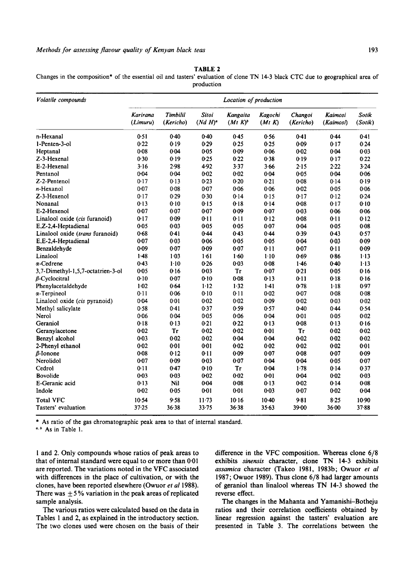**TABLE 2** 

Changes in the composition\* of the essential oil and tasters' evaluation of clone TN 14-3 black CTC due to geographical area of production

| Volatile compounds                | Location of production |                       |                           |                        |                   |                      |                      |                  |  |  |
|-----------------------------------|------------------------|-----------------------|---------------------------|------------------------|-------------------|----------------------|----------------------|------------------|--|--|
|                                   | Karirana<br>(Limuru)   | Timbilil<br>(Kericho) | <b>Sitoi</b><br>$(NdH)^a$ | Kangaita<br>$(Mt K)^b$ | Kagochi<br>(Mt K) | Changoi<br>(Kericho) | Kaimosi<br>(Kaimosi) | Sotik<br>(Sotik) |  |  |
| n-Hexanal                         | 0.51                   | 0.40                  | 0.40                      | 0.45                   | 0.56              | 0.41                 | 0.44                 | 0.41             |  |  |
| 1-Penten-3-ol                     | 0.22                   | 0.19                  | 0.29                      | 0.25                   | 0.25              | 0.09                 | 0.17                 | 0.24             |  |  |
| Heptanal                          | 0.08                   | 0.04                  | 0.05                      | 0.09                   | 0.06              | 0.02                 | 0.04                 | $0 - 03$         |  |  |
| Z-3-Hexenal                       | 0.30                   | 0.19                  | 0.25                      | 0.22                   | 0.38              | 0.19                 | 0.17                 | 0.22             |  |  |
| E-2-Hexenal                       | 3.16                   | 2.98                  | 4.92                      | 3.37                   | 3.66              | 2.15                 | 2.22                 | 3.24             |  |  |
| Pentanol                          | 0.04                   | 0.04                  | 0.02                      | $0 - 02$               | 0.04              | 0.05                 | 0.04                 | 0.06             |  |  |
| Z-2-Pentenol                      | 0.17                   | 0.13                  | 0.23                      | 0.20                   | 0.21              | $0 - 08$             | 0.14                 | 0.19             |  |  |
| $n$ -Hexanol                      | 0.07                   | 0.08                  | 0.07                      | 0.06                   | 0.06              | 0.02                 | 0.05                 | 0.06             |  |  |
| Z-3-Hexenol                       | 0.17                   | 0.29                  | 0.30                      | 0.14                   | 0.15              | 0.17                 | 0.12                 | 0.24             |  |  |
| Nonanal                           | 0.13                   | 0.10                  | 0.15                      | 0.18                   | 0.14              | 0.08                 | 0.17                 | 0.10             |  |  |
| E-2-Hexenol                       | $0 - 07$               | 0.07                  | 0.07                      | 0.09                   | 0.07              | 0.03                 | 0.06                 | 0.06             |  |  |
| Linalool oxide (cis furanoid)     | 0.17                   | 0.09                  | 0.11                      | 0.11                   | 0.12              | 0.08                 | 0.11                 | 0.12             |  |  |
| E,Z-2,4-Heptadienal               | $0 - 05$               | $0 - 03$              | $0 - 05$                  | 0.05                   | 0.07              | 0.04                 | 0.05                 | 0.08             |  |  |
| Linalool oxide (trans furanoid)   | 0.68                   | 0.41                  | 0.44                      | 0.43                   | 0.44              | 0.39                 | 0.43                 | 0.57             |  |  |
| E,E-2,4-Heptadienal               | 0.07                   | 0.03                  | 0.06                      | 0.05                   | 0.05              | 0.04                 | 0.03                 | $0 - 09$         |  |  |
| Benzaldehyde                      | 0.09                   | 0.07                  | 0.09                      | 0.07                   | 0.11              | 0.07                 | 0.11                 | 0.09             |  |  |
| Linalool                          | 1.48                   | $1 - 03$              | 1.61                      | 1.60                   | $1 - 10$          | 0.69                 | 0.86                 | $1-13$           |  |  |
| $\alpha$ -Cedrene                 | 0.43                   | $1-10$                | 0.26                      | 0.03                   | 0.08              | 1.46                 | 0.40                 | $1-13$           |  |  |
| 3,7-Dimethyl-1,5,7-octatrien-3-ol | 0.05                   | 0.16                  | 0.03                      | Tr                     | 0.07              | 0.21                 | 0.05                 | 0.16             |  |  |
| $\beta$ -Cyclocitral              | 0.10                   | 0.07                  | 0.10                      | 0.08                   | $0-13$            | 0.11                 | 0.18                 | 0.16             |  |  |
| Phenylacetaldehyde                | $1-02$                 | 0.64                  | 1.12                      | 1.32                   | $1-41$            | 0.78                 | $1 - 18$             | 0.97             |  |  |
| $\alpha$ -Terpineol               | 0.11                   | 0.06                  | 0.10                      | 0.11                   | 0.02              | 0.07                 | 0.08                 | 0.08             |  |  |
| Linalool oxide (cis pyranoid)     | 0.04                   | 0.01                  | 0.02                      | $0 - 02$               | 0.09              | 0.02                 | 0.03                 | $0 - 02$         |  |  |
| Methyl salicylate                 | 0.58                   | 0.41                  | 0.37                      | 0.59                   | 0.57              | 0.40                 | 0.44                 | 0.54             |  |  |
| Nerol                             | $0 - 06$               | 0.04                  | 0.05                      | 0.06                   | 0.04              | 0.01                 | 0.05                 | 0.02             |  |  |
| Geraniol                          | $0 - 18$               | 0.13                  | 0.21                      | 0.22                   | 0.13              | 0.08                 | 0.13                 | 0.16             |  |  |
| Geranylacetone                    | 0.02                   | <b>Tr</b>             | 0.02                      | $0 - 02$               | $0 - 01$          | Tr                   | 0.02                 | 0.02             |  |  |
| Benzyl alcohol                    | 0.03                   | 0.02                  | 0.02                      | 0.04                   | 0.04              | 0.02                 | 0.02                 | 0.02             |  |  |
| 2-Phenyl ethanol                  | 0.02                   | 0:01                  | 0:01                      | $0 - 02$               | 0.02              | 0.02                 | $0 - 02$             | $0 - 01$         |  |  |
| $\beta$ -Ionone                   | $0 - 08$               | 0.12                  | 0.11                      | 0.09                   | 0.07              | 0.08                 | 0.07                 | 0.09             |  |  |
| Nerolidol                         | 0.07                   | 0.09                  | 0.03                      | 0.07                   | 0.04              | 0.04                 | 0.05                 | 0:07             |  |  |
| Cedrol                            | 0.11                   | 0.47                  | $0 - 10$                  | <b>Tr</b>              | 0.04              | 1.78                 | 0.14                 | 0.37             |  |  |
| <b>Bovolide</b>                   | 0.03                   | $0 - 03$              | $0 - 02$                  | 0.02                   | 0:01              | 0.04                 | 0.02                 | $0 - 03$         |  |  |
| E-Geranic acid                    | 0.13                   | Nil                   | 0.04                      | 0.08                   | 0.13              | $0 - 02$             | 0.14                 | $0 - 08$         |  |  |
| Indole                            | 0.02                   | 0.05                  | 0.01                      | $0 - 01$               | $0 - 03$          | 0.07                 | 0.02                 | 0.04             |  |  |
| <b>Total VFC</b>                  | 10.54                  | 9.58                  | $11 - 73$                 | 10.16                  | $10-40$           | 9.81                 | 8.25                 | $10-90$          |  |  |
| Tasters' evaluation               | 37.25                  | 36.38                 | $33 - 75$                 | 36.38                  | 35.63             | 39.00                | 36.00                | 37.88            |  |  |

\* **As** ratio of the gas chromatographic peak area to that of internal standard.

*Ir,\** **As** in Table 1.

1 and 2. Only compounds whose ratios of peak areas to that of internal standard were equal to or more than **0.01**  are reported. The variations noted in the **VFC** associated with differences in the place of cultivation, or with the clones, have been reported elsewhere (Owuor *et a1* 1988). There was  $\pm$  5% variation in the peak areas of replicated sample analysis.

The various ratios were calculated based on the data in Tables 1 and 2, as explained in the introductory section. The two clones used were chosen on the basis of their

difference in the **VFC** composition. Whereas clone 6/8 exhibits *sinensis* character, clone **TN** 14-3 exhibits *assarnica* character (Takeo 1981, 1983b; Owuor *et al*  1987; Owuor 1989). Thus clone 6/8 had larger amounts of geraniol than linalool whereas TN **14-3** showed the reverse effect.

The changes in the Mahanta and Yamanishi-Botheju ratios and their correlation coefficients obtained by linear regression against the tasters' evaluation are presented in Table 3. The correlations between the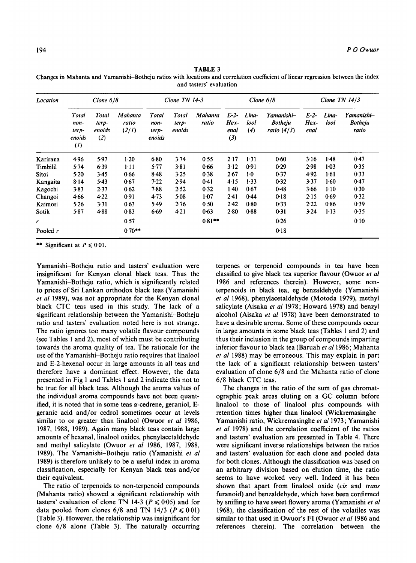**TABLE** 3 Changes in Mahanta and Yamanishi-Botheju ratios with locations and correlation coefficient of linear regression between the index and tasters' evaluation

| Location     | Clone $6/8$                                           |                                 |                           | Clone $TN$ 14-3                  |                          | Clone $6/8$      |                                 |                      | Clone $TN$ 14/3                               |                          |               |                                       |
|--------------|-------------------------------------------------------|---------------------------------|---------------------------|----------------------------------|--------------------------|------------------|---------------------------------|----------------------|-----------------------------------------------|--------------------------|---------------|---------------------------------------|
|              | Total<br>non-<br>terp-<br>enoids<br>$\left( I\right)$ | Total<br>terp-<br>enoids<br>(2) | Mahanta<br>ratio<br>(2/I) | Total<br>non-<br>terp-<br>enoids | Total<br>terp-<br>enoids | Mahanta<br>ratio | $E-2-$<br>$Hex-$<br>enal<br>(3) | Lina-<br>lool<br>(4) | Yamanishi—<br><b>Botheju</b><br>ratio $(4/3)$ | $E-2-$<br>$Hex-$<br>enal | Lina-<br>lool | Yamanishi—<br><b>Botheju</b><br>ratio |
| Karirana     | 4.96                                                  | 5.97                            | 1.20                      | 6.80                             | 3.74                     | 0.55             | 2.17                            | 1.31                 | 0.60                                          | 3.16                     | $1-48$        | 0.47                                  |
| Timbilil     | 5.74                                                  | 6.39                            | $1-11$                    | 5.77                             | 3.81                     | 0.66             | 3.12                            | 0.91                 | 0.29                                          | 2.98                     | $1 - 03$      | 0.35                                  |
| <b>Sitoi</b> | $5-20$                                                | $3-45$                          | 0.66                      | $8-48$                           | 3.25                     | 0.38             | 2.67                            | 1·0                  | 0.37                                          | 4.92                     | $1-61$        | 0.33                                  |
| Kangaita     | $8 - 14$                                              | $5-43$                          | 0.67                      | 7.22                             | 2.94                     | 0.41             | 4.15                            | 1.33                 | 0.32                                          | 3.37                     | 1.60          | 0.47                                  |
| Kagochi      | 3.83                                                  | 2.37                            | 0.62                      | 7.88                             | 2.52                     | 0.32             | $1-40$                          | 0.67                 | 0.48                                          | 3.66                     | $1-10$        | 0.30                                  |
| Changoi      | 4.66                                                  | 4.22                            | 0.91                      | 4.73                             | 5.08                     | 1.07             | 2.41                            | 0.44                 | 0.18                                          | 2.15                     | 0.69          | 0.32                                  |
| Kaimosi      | 5.26                                                  | 3.31                            | 0.63                      | 5.49                             | 2.76                     | 0.50             | 2.42                            | 0.80                 | 0.33                                          | 2.22                     | 0.86          | 0.39                                  |
| Sotik        | 5.87                                                  | 4.88                            | 0.83                      | 6.69                             | 4.21                     | 0.63             | 2.80                            | 0.88                 | 0.31                                          | 3.24                     | $1-13$        | 0.35                                  |
| r            |                                                       |                                 | 0.57                      |                                  |                          | $0.81***$        |                                 |                      | 0.26                                          |                          |               | 0.10                                  |
| Pooled r     |                                                       |                                 | $0.70**$                  |                                  |                          |                  |                                 |                      | 0.18                                          |                          |               |                                       |

\*\* Significant at  $P \le 0.01$ .

Yamanishi-Botheju ratio and tasters' evaluation were insignificant for Kenyan clonal black teas. Thus the Yamanishi-Botheju ratio, which is significantly related to prices of Sri Lankan orthodox black teas (Yamanishi *et a1* 1989), was not appropriate for the Kenyan clonal black CTC teas used in this study. The lack of a significant relationship between the Yamanishi-Botheju ratio and tasters' evaluation noted here is not strange. The ratio ignores too many volatile flavour compounds (see Tables 1 and 2), most of which must be contributing towards the aroma quality of tea. The rationale for the use of the Yamanishi-Botheju ratio requires that linalool and E-2-hexenal occur in large amounts in all teas and therefore have a dominant effect. However, the data presented in Fig **1** and Tables 1 and 2 indicate this not to be true for all black teas. Although the aroma values of the individual aroma compounds have not been quantified, it is noted that in some teas  $\alpha$ -cedrene, geraniol, Egeranic acid and/or cedrol sometimes occur at levels similar to or greater than linalool (Owuor *et a1* 1986, 1987, 1988, 1989). Again many black teas contain large amounts of hexanal, linalool oxides, phenylacetaldehyde and methyl salicylate (Owuor *et af* 1986, 1987, 1988, 1989). The Yamanishi-Botheju ratio (Yamanishi *et af*  1989) is therefore unlikely to be a useful index in aroma classification, especially for Kenyan black teas and/or their equivalent.

The ratio of terpenoids to non-terpenoid compounds (Mahanta ratio) showed a significant relationship with tasters' evaluation of clone TN 14-3 ( $P \le 0.05$ ) and for data pooled from clones  $6/8$  and TN 14/3 ( $P \le 0.01$ ) (Table 3). However, the relationship was insignificant for clone **6/8** alone (Table **3).** The naturally occurring

terpenes or terpenoid compounds in tea have been classified to give black tea superior flavour (Owuor *et a1*  1986 and references therein). However, some nonterpenoids in black tea, eg benzaldehyde (Yamanishi *et a1* 1968), phenylacetaldehyde (Motoda 1979), methyl salicylate (Aisaka *et a1* 1978; Howard 1978) and benzyl alcohol (Aisaka *et af* 1978) have been demonstrated to have a desirable aroma. Some of these compounds occur in large amounts in some black teas (Tables 1 and 2) and thus their inclusion in the group of compounds imparting inferior flavour to black tea (Baruah *et a1* 1986; Mahanta et *a1* 1988) may be erroneous. This may explain in part the lack of a significant relationship between tasters' evaluation of clone 6/8 and the Mahanta ratio of clone 6/8 black CTC teas.

The changes in the ratio of the sum of gas chromatographic peak areas eluting on a GC column before linalool to those of linalool plus compounds with retention times higher than linalool (Wickremasinghe-Yamanishi ratio, Wickremasinghe et al 1973; Yamanishi *et af* 1978) and the correlation coefficient of the ratios and tasters' evaluation are presented in Table 4. There were significant inverse relationships between the ratios and tasters' evaluation for each clone and pooled data for both clones. Although the classification was based on an arbitrary division based on elution time, the ratio seems to have worked very well. Indeed it has been shown that apart from linalool oxide *(cis* and *trans*  furanoid) and benzaldehyde, which have been confirmed by sniffing to have sweet flowery aroma (Yamanishi *el a1*  1968), the classification of the rest of the volatiles was similar to that used in Owuor's FI (Owuor *et af* 1986 and references therein). The correlation between the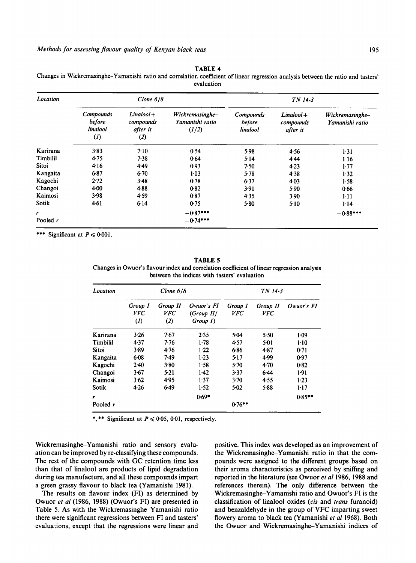| Location |                                                      | Clone $6/8$                                  |                                             | TN 14-3                         |                                       |                                    |  |  |
|----------|------------------------------------------------------|----------------------------------------------|---------------------------------------------|---------------------------------|---------------------------------------|------------------------------------|--|--|
|          | Compounds<br>before<br>linalool<br>$\left( I\right)$ | $Linalool +$<br>compounds<br>after it<br>(2) | Wickremasinghe-<br>Yamanishi ratio<br>(1/2) | Compounds<br>before<br>linalool | $Linalool +$<br>compounds<br>after it | Wickremasinghe-<br>Yamanishi ratio |  |  |
| Karirana | 3.83                                                 | 7.10                                         | 0.54                                        | 5.98                            | 4.56                                  | 1.31                               |  |  |
| Timbilil | 4.75                                                 | 7.38                                         | 0.64                                        | $5 - 14$                        | 4.44                                  | 1.16                               |  |  |
| Sitoi    | 4.16                                                 | $4-49$                                       | 0.93                                        | 7.50                            | $4-23$                                | 1.77                               |  |  |
| Kangaita | 6.87                                                 | $6-70$                                       | $1 - 03$                                    | 5.78                            | 4.38                                  | 1.32                               |  |  |
| Kagochi  | 2.72                                                 | 3.48                                         | 0.78                                        | 6.37                            | 4.03                                  | 1.58                               |  |  |
| Changoi  | $4 - 00$                                             | 4.88                                         | 0.82                                        | 3.91                            | 5.90                                  | 0.66                               |  |  |
| Kaimosi  | 3.98                                                 | 4.59                                         | 0.87                                        | 4.35                            | 3.90                                  | $1-11$                             |  |  |
| Sotik    | 4.61                                                 | 6.14                                         | 0.75                                        | $5 - 80$                        | $5 - 10$                              | 1.14                               |  |  |
| r        |                                                      |                                              | $-0.87***$                                  |                                 |                                       | $-0.88***$                         |  |  |
| Pooled r |                                                      |                                              | $-0.74***$                                  |                                 |                                       |                                    |  |  |

**TABLE 4** 

Changes in Wickremasinghe-Yamanishi ratio and correlation coefficient of linear regression analysis between the ratio and tasters' evaluation

\*\*\* Significant at  $P \le 0.001$ .

**TABLE 5** 

Changes in Owuor's flavour index and correlation coefficient of linear regression analysis between the indices with tasters' evaluation

| Location        |                                            | Clone $6/8$                   |                                         | TN 14-3        |                        |            |  |  |
|-----------------|--------------------------------------------|-------------------------------|-----------------------------------------|----------------|------------------------|------------|--|--|
|                 | Group I<br><b>VFC</b><br>$\left( I\right)$ | Group II<br><b>VFC</b><br>(2) | Owuor's FI<br>(Group II)<br>$Group\ I)$ | Group I<br>VFC | Group II<br><i>VFC</i> | Owuor's FI |  |  |
| Karirana        | 3.26                                       | 7.67                          | 2.35                                    | 5.04           | 5.50                   | $1-09$     |  |  |
| <b>Timbilil</b> | 4.37                                       | 7.76                          | 1.78                                    | 4.57           | 5.01                   | $1 - 10$   |  |  |
| <b>Sitoi</b>    | 3.89                                       | 4.76                          | 1.22                                    | 6.86           | 4.87                   | 0.71       |  |  |
| Kangaita        | 6.08                                       | 7.49                          | 1.23                                    | 5.17           | 4.99                   | 0.97       |  |  |
| Kagochi         | $2-40$                                     | 3.80                          | 1.58                                    | $5-70$         | $4-70$                 | 0.82       |  |  |
| Changoi         | 3.67                                       | 5.21                          | 1.42                                    | 3.37           | 6.44                   | 1.91       |  |  |
| Kaimosi         | 3.62                                       | 4.95                          | 1.37                                    | $3-70$         | 4.55                   | 1.23       |  |  |
| Sotik           | 4.26                                       | 6.49                          | 1.52                                    | 5.02           | 5.88                   | 1:17       |  |  |
| r               |                                            |                               | $0.69*$                                 |                |                        | $0.85***$  |  |  |
| Pooled r        |                                            |                               |                                         | $0.76***$      |                        |            |  |  |

\*,\*\* Significant at  $P \le 0.05$ , 0.01, respectively.

Wickremasinghe-Yamanishi ratio and sensory evaluation can be improved by re-classifying these compounds. The rest of the compounds with GC retention time less than that of linalool are products of lipid degradation during tea manufacture, and all these compounds impart a green grassy flavour to black tea (Yamanishi 1981).

The results on flavour index (FI) as determined by Owuor *et al* (1986, 1988) (Owuor's FI) are presented in Table 5. **As** with the Wickremasinghe-Yamanishi ratio there were significant regressions between FI and tasters' evaluations, except that the regressions were linear and

positive. This index was developed as an improvement of the Wickremasinghe-Yamanishi ratio in that the compounds were assigned to the different groups based on their aroma characteristics as perceived by sniffing and reported in the literature (see Owuor *et a1* 1986, 1988 and references therein). The only difference between the Wickremasinghe-Yamanishi ratio and Owuor's FI is the classification of linalool oxides *(cis* and *trans* furanoid) and benzaldehyde in the group of VFC imparting sweet flowery aroma to black tea (Yamanishi *et a1* 1968). Both the Owuor and Wickremasinghe-Yamanishi indices of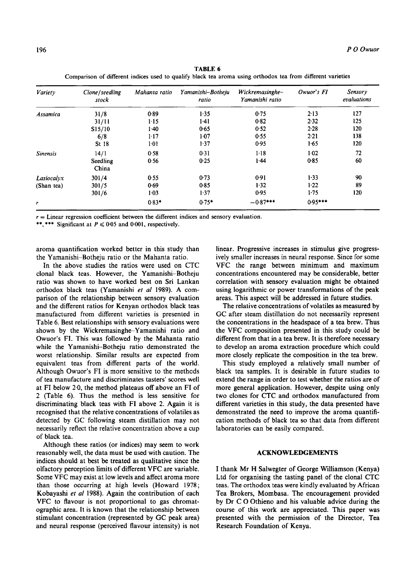| Variety         | Clone/seedling<br>stock | Mahanta ratio | Yamanishi-Botheju<br>ratio | Wickremasinghe-<br>Yamanishi ratio | Owuor's FI | <b>Sensory</b><br>evaluations |
|-----------------|-------------------------|---------------|----------------------------|------------------------------------|------------|-------------------------------|
| Assamica        | 31/8                    | 0.89          | 1.35                       | 0.75                               | $2 - 13$   | 127                           |
|                 | 31/11                   | 1.15          | $1-41$                     | $0 - 82$                           | 2.32       | 125                           |
|                 | S15/10                  | $1-40$        | 0.65                       | 0.52                               | 2.28       | 120                           |
|                 | 6/8                     | $1 - 17$      | $1-07$                     | 0.55                               | 2.21       | 138                           |
|                 | St 18                   | 1.01          | 1.37                       | 0.95                               | 1.65       | 120                           |
| <b>Sinensis</b> | 14/1                    | 0.58          | 0.31                       | $1 - 18$                           | 1.02       | 72                            |
|                 | Seedling<br>China       | 0.56          | 0.25                       | 1.44                               | 0.85       | 60                            |
| Lasiocalyx      | 301/4                   | 0.55          | 0.73                       | 0.91                               | 1.33       | 90                            |
| (Shan tea)      | 301/5                   | 0.69          | 0.85                       | 1.32                               | 1.22       | 89                            |
|                 | 301/6                   | $1-03$        | 1.37                       | 0.95                               | 1.75       | 120                           |
| r               |                         | $0.83*$       | $0.75*$                    | $-0.87***$                         | $0.95***$  |                               |

**TABLE 6 Comparison of different indices used to qualify black tea aroma using orthodox tea from different varieties** 

*<sup>r</sup>*= **Linear regression coefficient between the different indices and sensory evaluation.** 

\*\*, \*\*\* Significant at  $P \le 0.05$  and 0.001, respectively.

aroma quantification worked better in this study than the Yamanishi-Botheju ratio or the Mahanta ratio.

In the above studies the ratios were used on CTC clonal black teas. However, the Yamanishi-Botheju ratio was shown to have worked best on Sri Lankan orthodox black teas (Yamanishi *et a1* 1989). A comparison of the relationship between sensory evaluation and the different ratios for Kenyan orthodox black teas manufactured from different varieties is presented in Table 6. Best relationships with sensory evaluations were shown by the Wickremasinghe-Yamanishi ratio and Owuor's FI. This was followed by the Mahanta ratio while the Yamanishi-Botheju ratio demonstrated the worst relationship. Similar results are expected from equivalent teas from different parts of the world. Although Owuor's FI is more sensitive to the methods of tea manufacture and discriminates tasters' scores well at FI below 2.0, the method plateaus off above an FI of 2 (Table 6). Thus the method is less sensitive for discriminating black teas with FI above 2. Again it is recognised that the relative concentrations of volatiles as detected by GC following steam distillation may not necessarily reflect the relative concentration above a cup of black tea.

Although these ratios (or indices) may seem to work reasonably well, the data must be used with caution. The indices should at best be treated as qualitative since the olfactory perception limits of different VFC are variable. Some VFC may exist at low levels and affect aroma more than those occurring at high levels (Howard **1978;**  Kobayashi *et a1* 1988). Again the contribution of each VFC to flavour is not proportional to gas chromatographic area. It is known that the relationship between stimulant concentration (represented by GC peak area) and neural response (perceived flavour intensity) is not linear. Progressive increases in stimulus give progressively smaller increases in neural response. Since for some VFC the range between minimum and maximum concentrations encountered may be considerable, better correlation with sensory evaluation might be obtained using logarithmic or power transformations of the peak areas. This aspect will be addressed in future studies.

The relative concentrations of volatiles as measured by GC after steam distillation do not necessarily represent the concentrations in the headspace of a tea brew. Thus the VFC composition presented in this study could be different from that in a tea brew. It is therefore necessary to develop an aroma extraction procedure which could more closely replicate the composition in the tea brew.

This study employed a relatively small number of black tea samples. It is desirable in future studies to extend the range in order to test whether the ratios are of more general application. However, despite using only two clones for CTC and orthodox manufactured from different varieties in this study, the data presented have demonstrated the need to improve the aroma quantification methods of black tea so that data from different laboratories can be easily compared.

#### **ACKNOWLEDGEMENTS**

I thank Mr H Salwegter of George Williamson (Kenya) Ltd for organising the tasting panel of the clonal CTC teas. The orthodox teas were kindly evaluated by African Tea Brokers, Mombasa. The encouragement provided by Dr C 0 Othieno and his valuable advice during the course of this work are appreciated. This paper was presented with the permission of the Director, Tea Research Foundation of Kenya.